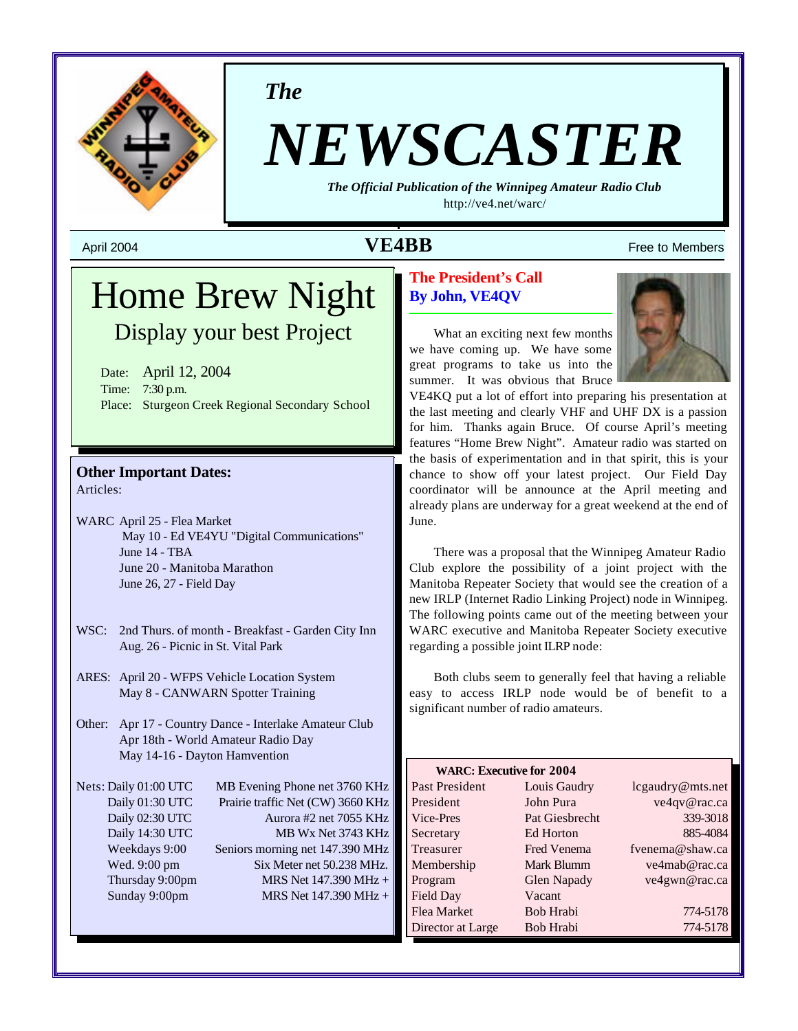

*The*

# *NEWSCASTER*

*The Official Publication of the Winnipeg Amateur Radio Club* http://ve4.net/warc/

# April 2004  $\bf{VEABB}$  Free to Members

# Home Brew Night Display your best Project

Date: April 12, 2004 Time: 7:30 p.m. Place: Sturgeon Creek Regional Secondary School

#### **Other Important Dates:** Articles:

WARC April 25 - Flea Market May 10 - Ed VE4YU "Digital Communications" June 14 - TBA June 20 - Manitoba Marathon June 26, 27 - Field Day

- WSC: 2nd Thurs. of month Breakfast Garden City Inn Aug. 26 - Picnic in St. Vital Park
- ARES: April 20 WFPS Vehicle Location System May 8 - CANWARN Spotter Training
- Other: Apr 17 Country Dance Interlake Amateur Club Apr 18th - World Amateur Radio Day May 14-16 - Dayton Hamvention

Nets: Daily 01:00 UTC MB Evening Phone net 3760 KHz Daily 01:30 UTC Prairie traffic Net (CW) 3660 KHz Daily 02:30 UTC Aurora #2 net 7055 KHz Daily 14:30 UTC MB Wx Net 3743 KHz Weekdays 9:00 Seniors morning net 147.390 MHz Wed. 9:00 pm Six Meter net 50.238 MHz. Thursday 9:00pm MRS Net 147.390 MHz + Sunday 9:00pm MRS Net 147.390 MHz +

# **The President's Call By John, VE4QV**

What an exciting next few months we have coming up. We have some great programs to take us into the summer. It was obvious that Bruce

VE4KQ put a lot of effort into preparing his presentation at the last meeting and clearly VHF and UHF DX is a passion for him. Thanks again Bruce. Of course April's meeting features "Home Brew Night". Amateur radio was started on the basis of experimentation and in that spirit, this is your chance to show off your latest project. Our Field Day coordinator will be announce at the April meeting and already plans are underway for a great weekend at the end of June.

There was a proposal that the Winnipeg Amateur Radio Club explore the possibility of a joint project with the Manitoba Repeater Society that would see the creation of a new IRLP (Internet Radio Linking Project) node in Winnipeg. The following points came out of the meeting between your WARC executive and Manitoba Repeater Society executive regarding a possible joint ILRP node:

Both clubs seem to generally feel that having a reliable easy to access IRLP node would be of benefit to a significant number of radio amateurs.

| <b>WARC: Executive for 2004</b> |                    |                  |  |  |
|---------------------------------|--------------------|------------------|--|--|
| Past President                  | Louis Gaudry       | lcgaudry@mts.net |  |  |
| President                       | John Pura          | ve4qv@rac.ca     |  |  |
| Vice-Pres                       | Pat Giesbrecht     | 339-3018         |  |  |
| Secretary                       | Ed Horton          | 885-4084         |  |  |
| Treasurer                       | <b>Fred Venema</b> | fvenema@shaw.ca  |  |  |
| Membership                      | Mark Blumm         | ve4mab@rac.ca    |  |  |
| Program                         | <b>Glen Napady</b> | ve4gwn@rac.ca    |  |  |
| Field Day                       | Vacant             |                  |  |  |
| Flea Market                     | Bob Hrabi          | 774-5178         |  |  |
| Director at Large               | Bob Hrabi          | 774-5178         |  |  |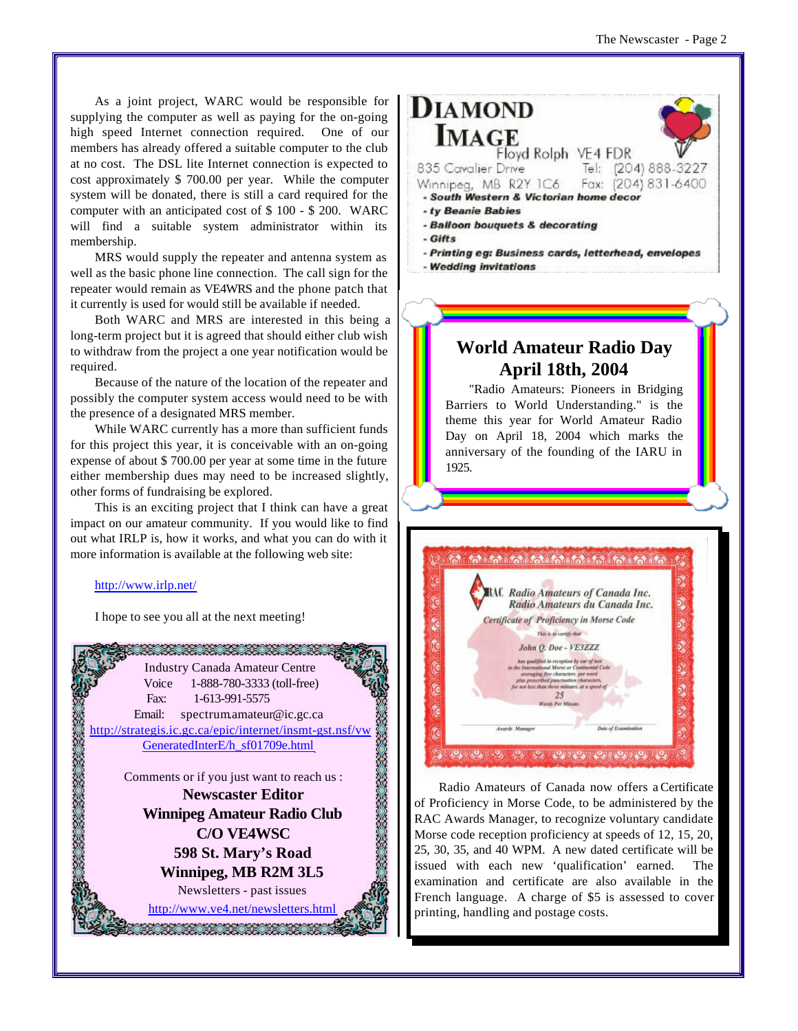As a joint project, WARC would be responsible for supplying the computer as well as paying for the on-going high speed Internet connection required. One of our members has already offered a suitable computer to the club at no cost. The DSL lite Internet connection is expected to cost approximately \$ 700.00 per year. While the computer system will be donated, there is still a card required for the computer with an anticipated cost of \$ 100 - \$ 200. WARC will find a suitable system administrator within its membership.

MRS would supply the repeater and antenna system as well as the basic phone line connection. The call sign for the repeater would remain as VE4WRS and the phone patch that it currently is used for would still be available if needed.

Both WARC and MRS are interested in this being a long-term project but it is agreed that should either club wish to withdraw from the project a one year notification would be required.

Because of the nature of the location of the repeater and possibly the computer system access would need to be with the presence of a designated MRS member.

While WARC currently has a more than sufficient funds for this project this year, it is conceivable with an on-going expense of about \$ 700.00 per year at some time in the future either membership dues may need to be increased slightly, other forms of fundraising be explored.

This is an exciting project that I think can have a great impact on our amateur community. If you would like to find out what IRLP is, how it works, and what you can do with it more information is available at the following web site:

#### http://www.irlp.net/

I hope to see you all at the next meeting!



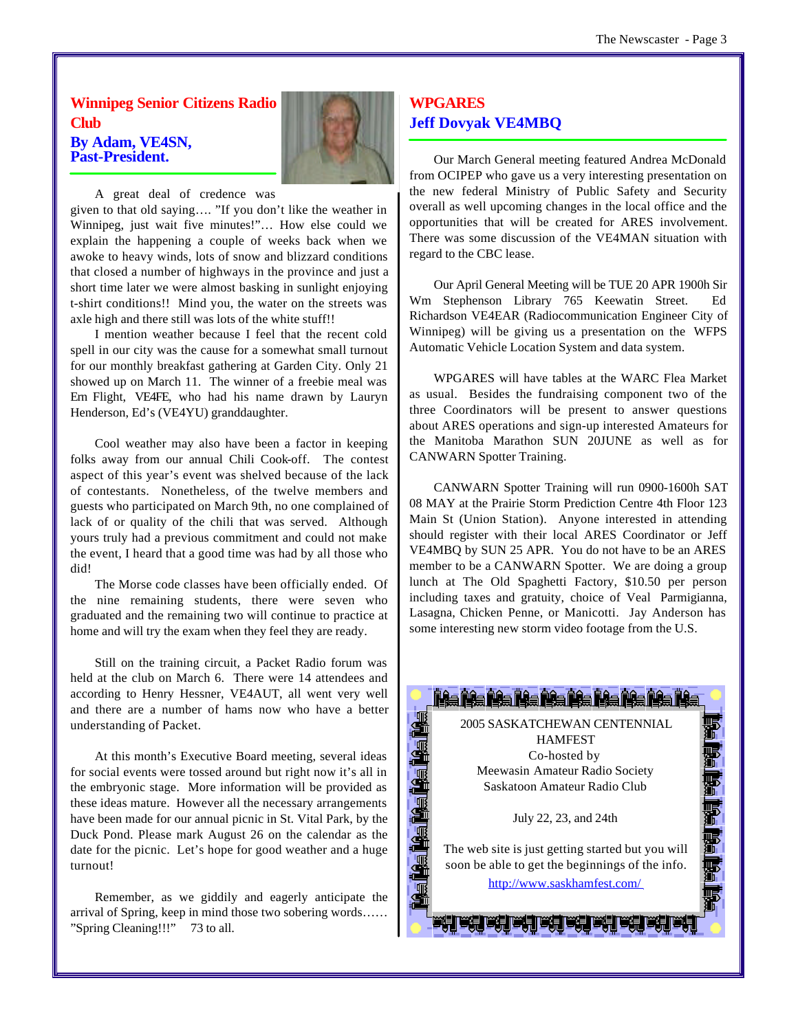**Winnipeg Senior Citizens Radio Club By Adam, VE4SN, Past-President.**



A great deal of credence was

given to that old saying…. "If you don't like the weather in Winnipeg, just wait five minutes!"… How else could we explain the happening a couple of weeks back when we awoke to heavy winds, lots of snow and blizzard conditions that closed a number of highways in the province and just a short time later we were almost basking in sunlight enjoying t-shirt conditions!! Mind you, the water on the streets was axle high and there still was lots of the white stuff!!

I mention weather because I feel that the recent cold spell in our city was the cause for a somewhat small turnout for our monthly breakfast gathering at Garden City. Only 21 showed up on March 11. The winner of a freebie meal was Ern Flight, VE4FE, who had his name drawn by Lauryn Henderson, Ed's (VE4YU) granddaughter.

Cool weather may also have been a factor in keeping folks away from our annual Chili Cook-off. The contest aspect of this year's event was shelved because of the lack of contestants. Nonetheless, of the twelve members and guests who participated on March 9th, no one complained of lack of or quality of the chili that was served. Although yours truly had a previous commitment and could not make the event, I heard that a good time was had by all those who did!

The Morse code classes have been officially ended. Of the nine remaining students, there were seven who graduated and the remaining two will continue to practice at home and will try the exam when they feel they are ready.

Still on the training circuit, a Packet Radio forum was held at the club on March 6. There were 14 attendees and according to Henry Hessner, VE4AUT, all went very well and there are a number of hams now who have a better understanding of Packet.

At this month's Executive Board meeting, several ideas for social events were tossed around but right now it's all in the embryonic stage. More information will be provided as these ideas mature. However all the necessary arrangements have been made for our annual picnic in St. Vital Park, by the Duck Pond. Please mark August 26 on the calendar as the date for the picnic. Let's hope for good weather and a huge turnout!

Remember, as we giddily and eagerly anticipate the arrival of Spring, keep in mind those two sobering words…… "Spring Cleaning!!!" 73 to all.

# **WPGARES Jeff Dovyak VE4MBQ**

Our March General meeting featured Andrea McDonald from OCIPEP who gave us a very interesting presentation on the new federal Ministry of Public Safety and Security overall as well upcoming changes in the local office and the opportunities that will be created for ARES involvement. There was some discussion of the VE4MAN situation with regard to the CBC lease.

Our April General Meeting will be TUE 20 APR 1900h Sir Wm Stephenson Library 765 Keewatin Street. Ed Richardson VE4EAR (Radiocommunication Engineer City of Winnipeg) will be giving us a presentation on the WFPS Automatic Vehicle Location System and data system.

WPGARES will have tables at the WARC Flea Market as usual. Besides the fundraising component two of the three Coordinators will be present to answer questions about ARES operations and sign-up interested Amateurs for the Manitoba Marathon SUN 20JUNE as well as for CANWARN Spotter Training.

CANWARN Spotter Training will run 0900-1600h SAT 08 MAY at the Prairie Storm Prediction Centre 4th Floor 123 Main St (Union Station). Anyone interested in attending should register with their local ARES Coordinator or Jeff VE4MBQ by SUN 25 APR. You do not have to be an ARES member to be a CANWARN Spotter. We are doing a group lunch at The Old Spaghetti Factory, \$10.50 per person including taxes and gratuity, choice of Veal Parmigianna, Lasagna, Chicken Penne, or Manicotti. Jay Anderson has some interesting new storm video footage from the U.S.

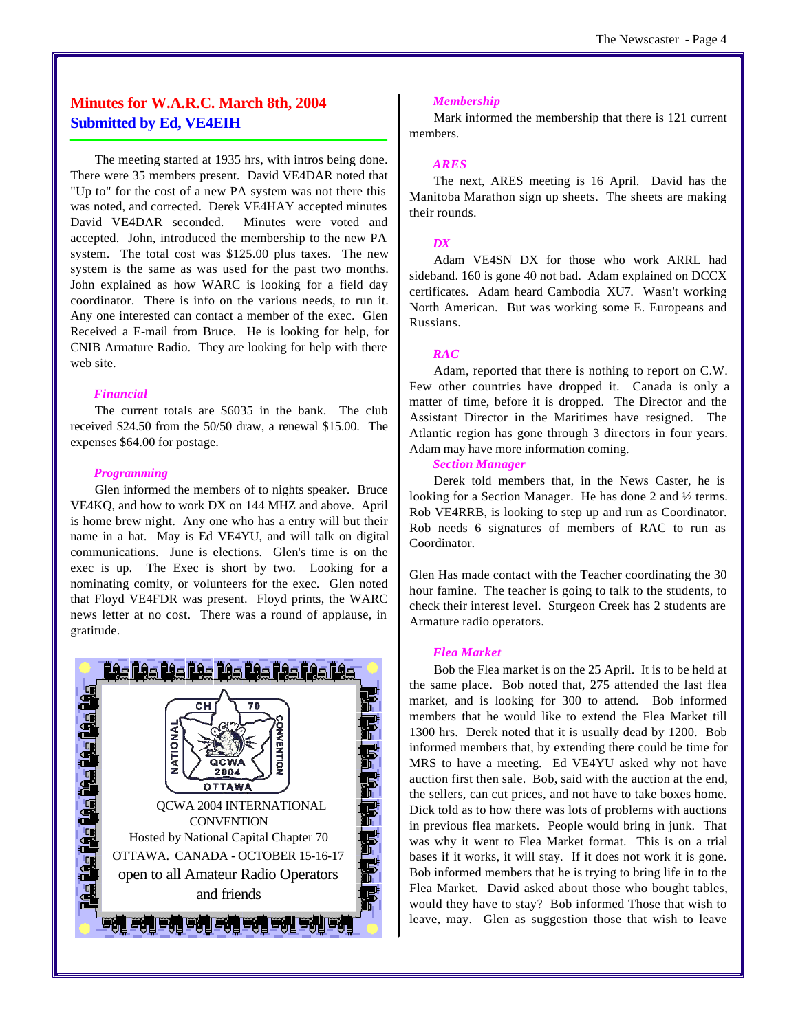# **Minutes for W.A.R.C. March 8th, 2004 Submitted by Ed, VE4EIH**

The meeting started at 1935 hrs, with intros being done. There were 35 members present. David VE4DAR noted that "Up to" for the cost of a new PA system was not there this was noted, and corrected. Derek VE4HAY accepted minutes David VE4DAR seconded. Minutes were voted and accepted. John, introduced the membership to the new PA system. The total cost was \$125.00 plus taxes. The new system is the same as was used for the past two months. John explained as how WARC is looking for a field day coordinator. There is info on the various needs, to run it. Any one interested can contact a member of the exec. Glen Received a E-mail from Bruce. He is looking for help, for CNIB Armature Radio. They are looking for help with there web site.

#### *Financial*

The current totals are \$6035 in the bank. The club received \$24.50 from the 50/50 draw, a renewal \$15.00. The expenses \$64.00 for postage.

#### *Programming*

Glen informed the members of to nights speaker. Bruce VE4KQ, and how to work DX on 144 MHZ and above. April is home brew night. Any one who has a entry will but their name in a hat. May is Ed VE4YU, and will talk on digital communications. June is elections. Glen's time is on the exec is up. The Exec is short by two. Looking for a nominating comity, or volunteers for the exec. Glen noted that Floyd VE4FDR was present. Floyd prints, the WARC news letter at no cost. There was a round of applause, in gratitude.



#### *Membership*

Mark informed the membership that there is 121 current members.

#### *ARES*

The next, ARES meeting is 16 April. David has the Manitoba Marathon sign up sheets. The sheets are making their rounds.

#### *DX*

Adam VE4SN DX for those who work ARRL had sideband. 160 is gone 40 not bad. Adam explained on DCCX certificates. Adam heard Cambodia XU7. Wasn't working North American. But was working some E. Europeans and Russians.

#### *RAC*

Adam, reported that there is nothing to report on C.W. Few other countries have dropped it. Canada is only a matter of time, before it is dropped. The Director and the Assistant Director in the Maritimes have resigned. The Atlantic region has gone through 3 directors in four years. Adam may have more information coming.

*Section Manager*

Derek told members that, in the News Caster, he is looking for a Section Manager. He has done 2 and ½ terms. Rob VE4RRB, is looking to step up and run as Coordinator. Rob needs 6 signatures of members of RAC to run as Coordinator.

Glen Has made contact with the Teacher coordinating the 30 hour famine. The teacher is going to talk to the students, to check their interest level. Sturgeon Creek has 2 students are Armature radio operators.

#### *Flea Market*

Bob the Flea market is on the 25 April. It is to be held at the same place. Bob noted that, 275 attended the last flea market, and is looking for 300 to attend. Bob informed members that he would like to extend the Flea Market till 1300 hrs. Derek noted that it is usually dead by 1200. Bob informed members that, by extending there could be time for MRS to have a meeting. Ed VE4YU asked why not have auction first then sale. Bob, said with the auction at the end, the sellers, can cut prices, and not have to take boxes home. Dick told as to how there was lots of problems with auctions in previous flea markets. People would bring in junk. That was why it went to Flea Market format. This is on a trial bases if it works, it will stay. If it does not work it is gone. Bob informed members that he is trying to bring life in to the Flea Market. David asked about those who bought tables, would they have to stay? Bob informed Those that wish to leave, may. Glen as suggestion those that wish to leave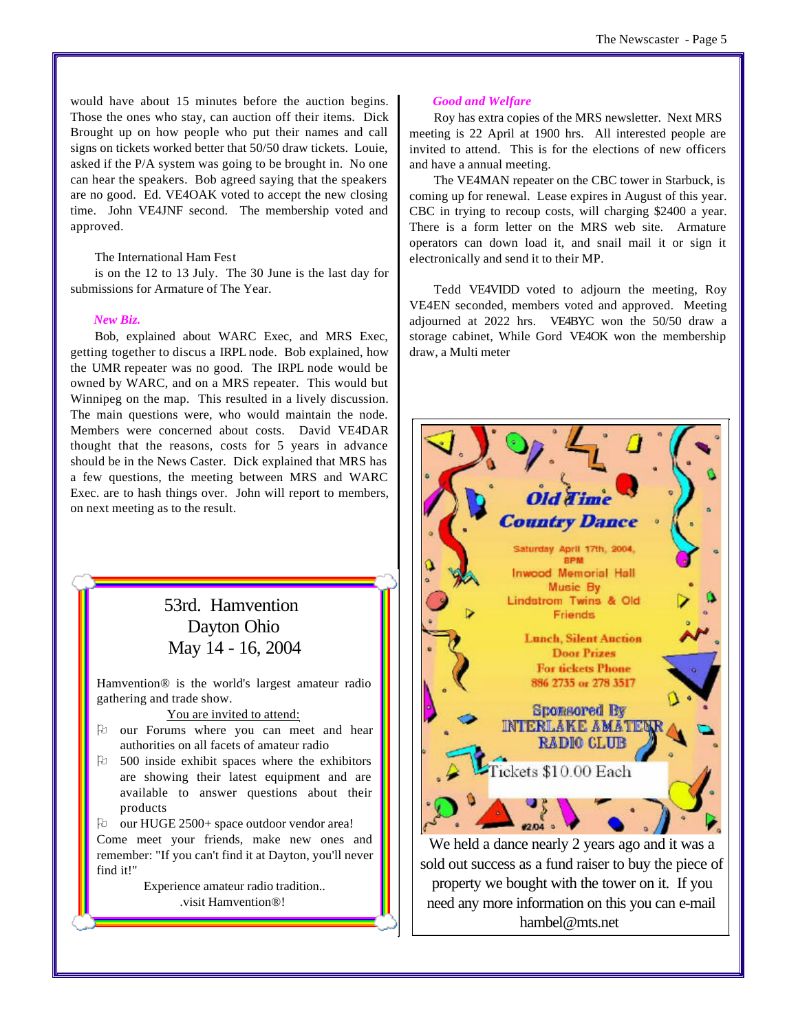would have about 15 minutes before the auction begins. Those the ones who stay, can auction off their items. Dick Brought up on how people who put their names and call signs on tickets worked better that 50/50 draw tickets. Louie, asked if the P/A system was going to be brought in. No one can hear the speakers. Bob agreed saying that the speakers are no good. Ed. VE4OAK voted to accept the new closing time. John VE4JNF second. The membership voted and approved.

#### The International Ham Fest

is on the 12 to 13 July. The 30 June is the last day for submissions for Armature of The Year.

#### *New Biz.*

Bob, explained about WARC Exec, and MRS Exec, getting together to discus a IRPL node. Bob explained, how the UMR repeater was no good. The IRPL node would be owned by WARC, and on a MRS repeater. This would but Winnipeg on the map. This resulted in a lively discussion. The main questions were, who would maintain the node. Members were concerned about costs. David VE4DAR thought that the reasons, costs for 5 years in advance should be in the News Caster. Dick explained that MRS has a few questions, the meeting between MRS and WARC Exec. are to hash things over. John will report to members, on next meeting as to the result.

# 53rd. Hamvention Dayton Ohio May 14 - 16, 2004

Hamvention® is the world's largest amateur radio gathering and trade show.

You are invited to attend:

- O our Forums where you can meet and hear authorities on all facets of amateur radio
- $\upbeta$  500 inside exhibit spaces where the exhibitors are showing their latest equipment and are available to answer questions about their products
- Pu our HUGE 2500+ space outdoor vendor area!

Come meet your friends, make new ones and remember: "If you can't find it at Dayton, you'll never find it!"

> Experience amateur radio tradition.. .visit Hamvention®!

#### *Good and Welfare*

Roy has extra copies of the MRS newsletter. Next MRS meeting is 22 April at 1900 hrs. All interested people are invited to attend. This is for the elections of new officers and have a annual meeting.

The VE4MAN repeater on the CBC tower in Starbuck, is coming up for renewal. Lease expires in August of this year. CBC in trying to recoup costs, will charging \$2400 a year. There is a form letter on the MRS web site. Armature operators can down load it, and snail mail it or sign it electronically and send it to their MP.

Tedd VE4VIDD voted to adjourn the meeting, Roy VE4EN seconded, members voted and approved. Meeting adjourned at 2022 hrs. VE4BYC won the 50/50 draw a storage cabinet, While Gord VE4OK won the membership draw, a Multi meter



sold out success as a fund raiser to buy the piece of property we bought with the tower on it. If you need any more information on this you can e-mail hambel@mts.net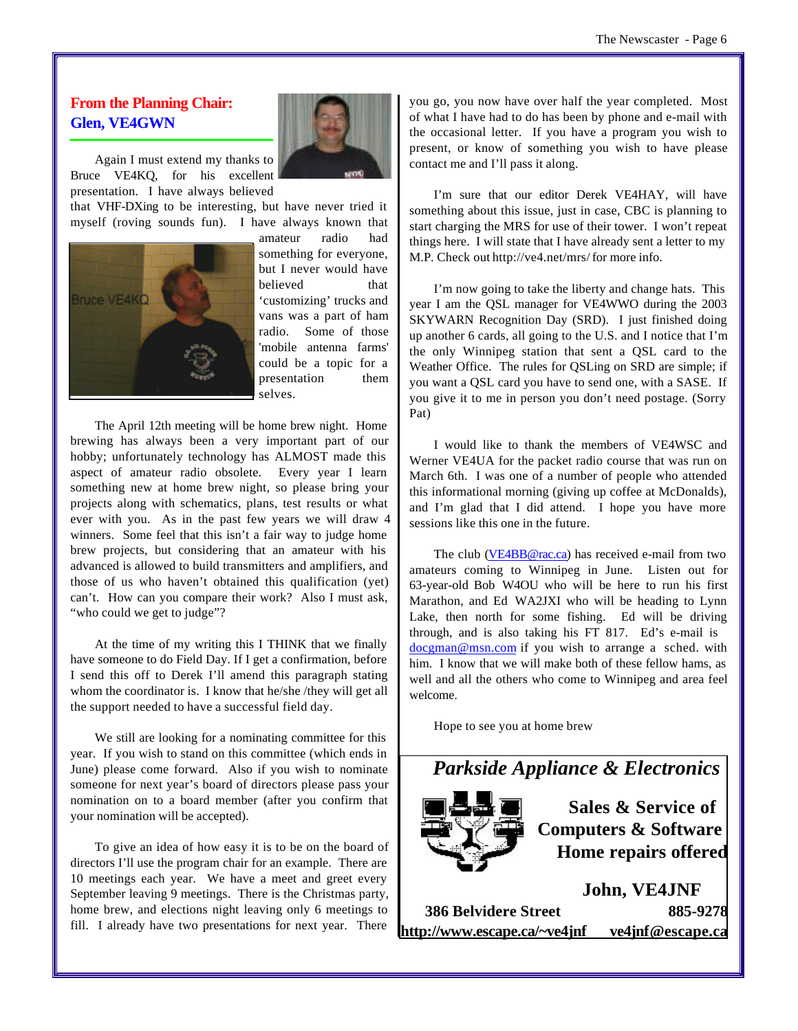# **From the Planning Chair: Glen, VE4GWN**

Again I must extend my thanks to Bruce VE4KQ, for his excellent presentation. I have always believed

that VHF-DXing to be interesting, but have never tried it myself (roving sounds fun). I have always known that



amateur radio had something for everyone, but I never would have believed that 'customizing' trucks and vans was a part of ham radio. Some of those 'mobile antenna farms' could be a topic for a presentation them selves.

The April 12th meeting will be home brew night. Home brewing has always been a very important part of our hobby; unfortunately technology has ALMOST made this aspect of amateur radio obsolete. Every year I learn something new at home brew night, so please bring your projects along with schematics, plans, test results or what ever with you. As in the past few years we will draw 4 winners. Some feel that this isn't a fair way to judge home brew projects, but considering that an amateur with his advanced is allowed to build transmitters and amplifiers, and those of us who haven't obtained this qualification (yet) can't. How can you compare their work? Also I must ask, "who could we get to judge"?

At the time of my writing this I THINK that we finally have someone to do Field Day. If I get a confirmation, before I send this off to Derek I'll amend this paragraph stating whom the coordinator is. I know that he/she/they will get all the support needed to have a successful field day.

We still are looking for a nominating committee for this year. If you wish to stand on this committee (which ends in June) please come forward. Also if you wish to nominate someone for next year's board of directors please pass your nomination on to a board member (after you confirm that your nomination will be accepted).

To give an idea of how easy it is to be on the board of directors I'll use the program chair for an example. There are 10 meetings each year. We have a meet and greet every September leaving 9 meetings. There is the Christmas party, home brew, and elections night leaving only 6 meetings to fill. I already have two presentations for next year. There

you go, you now have over half the year completed. Most of what I have had to do has been by phone and e-mail with the occasional letter. If you have a program you wish to present, or know of something you wish to have please contact me and I'll pass it along.

I'm sure that our editor Derek VE4HAY, will have something about this issue, just in case, CBC is planning to start charging the MRS for use of their tower. I won't repeat things here. I will state that I have already sent a letter to my M.P. Check out http://ve4.net/mrs/ for more info.

I'm now going to take the liberty and change hats. This year I am the QSL manager for VE4WWO during the 2003 SKYWARN Recognition Day (SRD). I just finished doing up another 6 cards, all going to the U.S. and I notice that I'm the only Winnipeg station that sent a QSL card to the Weather Office. The rules for QSLing on SRD are simple; if you want a QSL card you have to send one, with a SASE. If you give it to me in person you don't need postage. (Sorry Pat)

I would like to thank the members of VE4WSC and Werner VE4UA for the packet radio course that was run on March 6th. I was one of a number of people who attended this informational morning (giving up coffee at McDonalds), and I'm glad that I did attend. I hope you have more sessions like this one in the future.

The club (VE4BB@rac.ca) has received e-mail from two amateurs coming to Winnipeg in June. Listen out for 63-year-old Bob W4OU who will be here to run his first Marathon, and Ed WA2JXI who will be heading to Lynn Lake, then north for some fishing. Ed will be driving through, and is also taking his FT 817. Ed's e-mail is docgman@msn.com if you wish to arrange a sched. with him. I know that we will make both of these fellow hams, as well and all the others who come to Winnipeg and area feel welcome.

Hope to see you at home brew



**386 Belvidere Street 885-9278 http://www.escape.ca/~ve4jnf ve4jnf@escape.ca**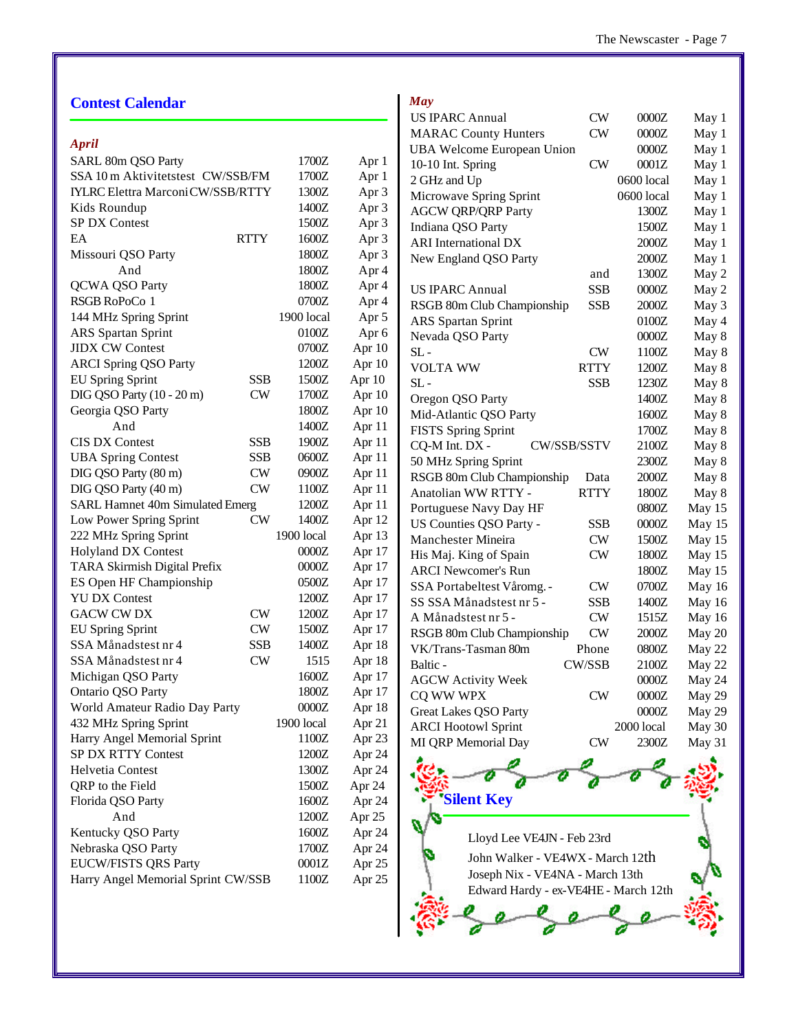# **Contest Calendar**

### *April*

| SARL 80m QSO Party                       |            | 1700Z      | Apr 1            |
|------------------------------------------|------------|------------|------------------|
| SSA 10 m Aktivitetstest CW/SSB/FM        |            | 1700Z      | Apr 1            |
| <b>IYLRC Elettra Marconi CW/SSB/RTTY</b> |            | 1300Z      | Apr 3            |
| Kids Roundup                             |            | 1400Z      | Apr 3            |
| SP DX Contest                            |            | 1500Z      | Apr 3            |
| EA                                       | RTTY       | 1600Z      | Apr 3            |
| Missouri QSO Party                       |            | 1800Z      | Apr 3            |
| And                                      |            | 1800Z      | Apr 4            |
| QCWA QSO Party                           |            | 1800Z      | Apr 4            |
| RSGB RoPoCo 1                            |            | 0700Z      | Apr 4            |
| 144 MHz Spring Sprint                    |            | 1900 local | Apr 5            |
| <b>ARS</b> Spartan Sprint                |            | 0100Z      | Apr <sub>6</sub> |
| <b>JIDX CW Contest</b>                   |            | 0700Z      | Apr 10           |
| <b>ARCI Spring QSO Party</b>             |            | 1200Z      | Apr 10           |
| <b>EU Spring Sprint</b>                  | <b>SSB</b> | 1500Z      | Apr 10           |
| DIG QSO Party (10 - 20 m)                | CW         | 1700Z      | Apr 10           |
| Georgia QSO Party                        |            | 1800Z      | Apr 10           |
| And                                      |            | 1400Z      | Apr 11           |
| <b>CIS DX Contest</b>                    | <b>SSB</b> | 1900Z      | Apr 11           |
| <b>UBA Spring Contest</b>                | <b>SSB</b> | 0600Z      | Apr 11           |
| DIG QSO Party (80 m)                     | CW         | 0900Z      | Apr 11           |
| DIG QSO Party (40 m)                     | CW         | 1100Z      | Apr 11           |
| SARL Hamnet 40m Simulated Emerg          |            | 1200Z      | Apr 11           |
| Low Power Spring Sprint                  | CW         | 1400Z      | Apr 12           |
| 222 MHz Spring Sprint                    |            | 1900 local | Apr 13           |
| <b>Holyland DX Contest</b>               |            | 0000Z      | Apr 17           |
| TARA Skirmish Digital Prefix             |            | 0000Z      | Apr 17           |
| ES Open HF Championship                  |            | 0500Z      | Apr 17           |
| <b>YU DX Contest</b>                     |            | 1200Z      | Apr 17           |
| <b>GACW CW DX</b>                        | CW         | 1200Z      | Apr 17           |
| <b>EU Spring Sprint</b>                  | CW         | 1500Z      | Apr 17           |
| SSA Månadstest nr 4                      | <b>SSB</b> | 1400Z      | Apr 18           |
| SSA Månadstest nr 4                      | CW         | 1515       | Apr 18           |
| Michigan QSO Party                       |            | 1600Z      | Apr 17           |
| Ontario QSO Party                        |            | 1800Z      | Apr 17           |
| World Amateur Radio Day Party            |            | 0000Z      | Apr 18           |
| 432 MHz Spring Sprint                    |            | 1900 local | Apr 21           |
| Harry Angel Memorial Sprint              |            | 1100Z      | Apr 23           |
| SP DX RTTY Contest                       |            | 1200Z      | Apr 24           |
| Helvetia Contest                         |            | 1300Z      | Apr 24           |
| QRP to the Field                         |            | 1500Z      | Apr 24           |
| Florida QSO Party                        |            | 1600Z      | Apr 24           |
| And                                      |            | 1200Z      | Apr 25           |
| Kentucky QSO Party                       |            | 1600Z      | Apr 24           |
| Nebraska QSO Party                       |            | 1700Z      | Apr 24           |
| EUCW/FISTS QRS Party                     |            | 0001Z      | Apr 25           |
| Harry Angel Memorial Sprint CW/SSB       |            | 1100Z      | Apr 25           |
|                                          |            |            |                  |

| May                               |               |            |        |
|-----------------------------------|---------------|------------|--------|
| <b>US IPARC Annual</b>            | <b>CW</b>     | 0000Z      | May 1  |
| <b>MARAC County Hunters</b>       | <b>CW</b>     | 0000Z      | May 1  |
| <b>UBA Welcome European Union</b> |               | 0000Z      | May 1  |
| 10-10 Int. Spring                 | $_{\rm CW}$   | 0001Z      | May 1  |
| 2 GHz and Up                      |               | 0600 local | May 1  |
| Microwave Spring Sprint           |               | 0600 local | May 1  |
| <b>AGCW QRP/QRP Party</b>         |               | 1300Z      | May 1  |
| Indiana QSO Party                 |               | 1500Z      | May 1  |
| <b>ARI</b> International DX       |               | 2000Z      | May 1  |
| New England QSO Party             |               | 2000Z      | May 1  |
|                                   | and           | 1300Z      | May 2  |
| <b>US IPARC Annual</b>            | <b>SSB</b>    | 0000Z      | May 2  |
| RSGB 80m Club Championship        | SSB           | 2000Z      | May 3  |
| <b>ARS</b> Spartan Sprint         |               | 0100Z      | May 4  |
| Nevada QSO Party                  |               | 0000Z      | May 8  |
| SL -                              | CW            | 1100Z      | May 8  |
| <b>VOLTA WW</b>                   | <b>RTTY</b>   | 1200Z      | May 8  |
| $SL -$                            | <b>SSB</b>    | 1230Z      | May 8  |
| Oregon QSO Party                  |               | 1400Z      | May 8  |
| Mid-Atlantic QSO Party            |               | 1600Z      | May 8  |
| <b>FISTS Spring Sprint</b>        |               | 1700Z      | May 8  |
| CQ-M Int. DX -<br>CW/SSB/SSTV     |               | 2100Z      | May 8  |
| 50 MHz Spring Sprint              |               | 2300Z      | May 8  |
| RSGB 80m Club Championship        | Data          | 2000Z      | May 8  |
| Anatolian WW RTTY -               | <b>RTTY</b>   | 1800Z      | May 8  |
| Portuguese Navy Day HF            |               | 0800Z      | May 15 |
| US Counties QSO Party -           | <b>SSB</b>    | 0000Z      | May 15 |
| <b>Manchester Mineira</b>         | CW            | 1500Z      | May 15 |
| His Maj. King of Spain            | CW            | 1800Z      | May 15 |
| <b>ARCI Newcomer's Run</b>        |               | 1800Z      | May 15 |
| SSA Portabeltest Våromg. -        | <b>CW</b>     | 0700Z      | May 16 |
| SS SSA Månadstest nr 5 -          | SSB           | 1400Z      | May 16 |
| A Månadstest nr 5 -               | CW            | 1515Z      | May 16 |
| RSGB 80m Club Championship        | CW            | 2000Z      | May 20 |
| VK/Trans-Tasman 80m               | Phone         | 0800Z      | May 22 |
| Baltic -                          | <b>CW/SSB</b> | 2100Z      | May 22 |
| <b>AGCW Activity Week</b>         |               | 0000Z      | May 24 |
| CQ WW WPX                         | $_{\rm CW}$   | 0000Z      | May 29 |
| <b>Great Lakes QSO Party</b>      |               | 0000Z      | May 29 |
| <b>ARCI Hootowl Sprint</b>        |               | 2000 local | May 30 |
| MI QRP Memorial Day               | CW            | 2300Z      | May 31 |
|                                   |               |            |        |

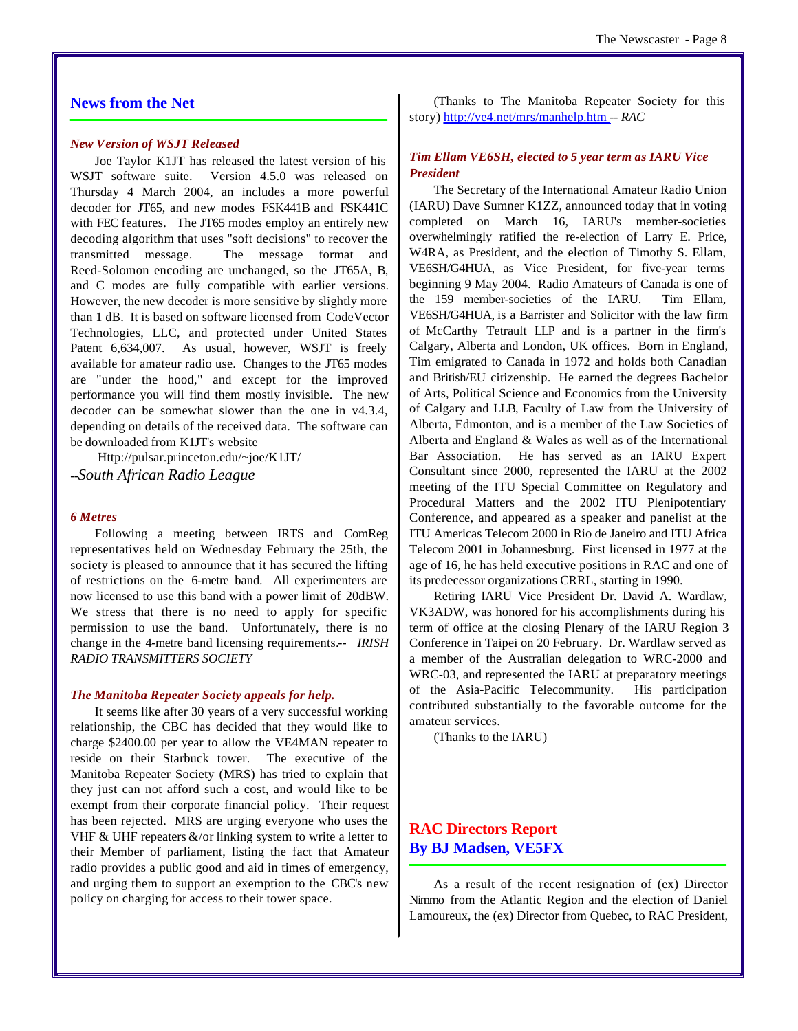#### **News from the Net**

#### *New Version of WSJT Released*

Joe Taylor K1JT has released the latest version of his WSJT software suite. Version 4.5.0 was released on Thursday 4 March 2004, an includes a more powerful decoder for JT65, and new modes FSK441B and FSK441C with FEC features. The JT65 modes employ an entirely new decoding algorithm that uses "soft decisions" to recover the transmitted message. The message format and Reed-Solomon encoding are unchanged, so the JT65A, B, and C modes are fully compatible with earlier versions. However, the new decoder is more sensitive by slightly more than 1 dB. It is based on software licensed from CodeVector Technologies, LLC, and protected under United States Patent 6,634,007. As usual, however, WSJT is freely available for amateur radio use. Changes to the JT65 modes are "under the hood," and except for the improved performance you will find them mostly invisible. The new decoder can be somewhat slower than the one in v4.3.4, depending on details of the received data. The software can be downloaded from K1JT's website

Http://pulsar.princeton.edu/~joe/K1JT/ *--South African Radio League*

#### *6 Metres*

Following a meeting between IRTS and ComReg representatives held on Wednesday February the 25th, the society is pleased to announce that it has secured the lifting of restrictions on the 6-metre band. All experimenters are now licensed to use this band with a power limit of 20dBW. We stress that there is no need to apply for specific permission to use the band. Unfortunately, there is no change in the 4-metre band licensing requirements.*-- IRISH RADIO TRANSMITTERS SOCIETY*

#### *The Manitoba Repeater Society appeals for help.*

It seems like after 30 years of a very successful working relationship, the CBC has decided that they would like to charge \$2400.00 per year to allow the VE4MAN repeater to reside on their Starbuck tower. The executive of the Manitoba Repeater Society (MRS) has tried to explain that they just can not afford such a cost, and would like to be exempt from their corporate financial policy. Their request has been rejected. MRS are urging everyone who uses the VHF  $\&$  UHF repeaters  $\&$ /or linking system to write a letter to their Member of parliament, listing the fact that Amateur radio provides a public good and aid in times of emergency, and urging them to support an exemption to the CBC's new policy on charging for access to their tower space.

(Thanks to The Manitoba Repeater Society for this story) http://ve4.net/mrs/manhelp.htm *-- RAC*

#### *Tim Ellam VE6SH, elected to 5 year term as IARU Vice President*

The Secretary of the International Amateur Radio Union (IARU) Dave Sumner K1ZZ, announced today that in voting completed on March 16, IARU's member-societies overwhelmingly ratified the re-election of Larry E. Price, W4RA, as President, and the election of Timothy S. Ellam, VE6SH/G4HUA, as Vice President, for five-year terms beginning 9 May 2004. Radio Amateurs of Canada is one of the 159 member-societies of the IARU. Tim Ellam, VE6SH/G4HUA, is a Barrister and Solicitor with the law firm of McCarthy Tetrault LLP and is a partner in the firm's Calgary, Alberta and London, UK offices. Born in England, Tim emigrated to Canada in 1972 and holds both Canadian and British/EU citizenship. He earned the degrees Bachelor of Arts, Political Science and Economics from the University of Calgary and LLB, Faculty of Law from the University of Alberta, Edmonton, and is a member of the Law Societies of Alberta and England & Wales as well as of the International Bar Association. He has served as an IARU Expert Consultant since 2000, represented the IARU at the 2002 meeting of the ITU Special Committee on Regulatory and Procedural Matters and the 2002 ITU Plenipotentiary Conference, and appeared as a speaker and panelist at the ITU Americas Telecom 2000 in Rio de Janeiro and ITU Africa Telecom 2001 in Johannesburg. First licensed in 1977 at the age of 16, he has held executive positions in RAC and one of its predecessor organizations CRRL, starting in 1990.

Retiring IARU Vice President Dr. David A. Wardlaw, VK3ADW, was honored for his accomplishments during his term of office at the closing Plenary of the IARU Region 3 Conference in Taipei on 20 February. Dr. Wardlaw served as a member of the Australian delegation to WRC-2000 and WRC-03, and represented the IARU at preparatory meetings of the Asia-Pacific Telecommunity. His participation contributed substantially to the favorable outcome for the amateur services.

(Thanks to the IARU)

# **RAC Directors Report By BJ Madsen, VE5FX**

As a result of the recent resignation of (ex) Director Nimmo from the Atlantic Region and the election of Daniel Lamoureux, the (ex) Director from Quebec, to RAC President,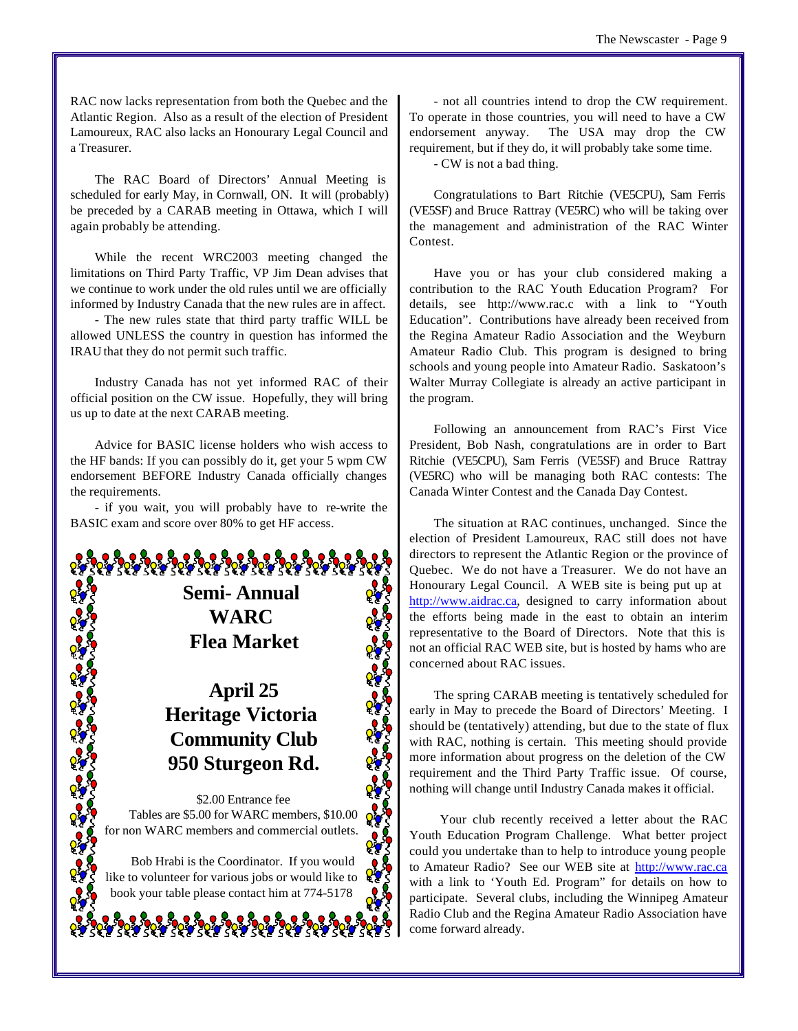RAC now lacks representation from both the Quebec and the Atlantic Region. Also as a result of the election of President Lamoureux, RAC also lacks an Honourary Legal Council and a Treasurer.

The RAC Board of Directors' Annual Meeting is scheduled for early May, in Cornwall, ON. It will (probably) be preceded by a CARAB meeting in Ottawa, which I will again probably be attending.

While the recent WRC2003 meeting changed the limitations on Third Party Traffic, VP Jim Dean advises that we continue to work under the old rules until we are officially informed by Industry Canada that the new rules are in affect.

- The new rules state that third party traffic WILL be allowed UNLESS the country in question has informed the IRAU that they do not permit such traffic.

Industry Canada has not yet informed RAC of their official position on the CW issue. Hopefully, they will bring us up to date at the next CARAB meeting.

Advice for BASIC license holders who wish access to the HF bands: If you can possibly do it, get your 5 wpm CW endorsement BEFORE Industry Canada officially changes the requirements.

- if you wait, you will probably have to re-write the BASIC exam and score over 80% to get HF access.

> **Semi- Annual WARC Flea Market**

# **April 25 Heritage Victoria Community Club 950 Sturgeon Rd.**

\$2.00 Entrance fee Tables are \$5.00 for WARC members, \$10.00 for non WARC members and commercial outlets.

Bob Hrabi is the Coordinator. If you would like to volunteer for various jobs or would like to book your table please contact him at 774-5178

- not all countries intend to drop the CW requirement. To operate in those countries, you will need to have a CW endorsement anyway. The USA may drop the CW requirement, but if they do, it will probably take some time.

- CW is not a bad thing.

Congratulations to Bart Ritchie (VE5CPU), Sam Ferris (VE5SF) and Bruce Rattray (VE5RC) who will be taking over the management and administration of the RAC Winter Contest.

Have you or has your club considered making a contribution to the RAC Youth Education Program? For details, see http://www.rac.c with a link to "Youth Education". Contributions have already been received from the Regina Amateur Radio Association and the Weyburn Amateur Radio Club. This program is designed to bring schools and young people into Amateur Radio. Saskatoon's Walter Murray Collegiate is already an active participant in the program.

Following an announcement from RAC's First Vice President, Bob Nash, congratulations are in order to Bart Ritchie (VE5CPU), Sam Ferris (VE5SF) and Bruce Rattray (VE5RC) who will be managing both RAC contests: The Canada Winter Contest and the Canada Day Contest.

The situation at RAC continues, unchanged. Since the election of President Lamoureux, RAC still does not have directors to represent the Atlantic Region or the province of Quebec. We do not have a Treasurer. We do not have an Honourary Legal Council. A WEB site is being put up at http://www.aidrac.ca, designed to carry information about the efforts being made in the east to obtain an interim representative to the Board of Directors. Note that this is not an official RAC WEB site, but is hosted by hams who are concerned about RAC issues.

The spring CARAB meeting is tentatively scheduled for early in May to precede the Board of Directors' Meeting. I should be (tentatively) attending, but due to the state of flux with RAC, nothing is certain. This meeting should provide more information about progress on the deletion of the CW requirement and the Third Party Traffic issue. Of course, nothing will change until Industry Canada makes it official.

 Your club recently received a letter about the RAC Youth Education Program Challenge. What better project could you undertake than to help to introduce young people to Amateur Radio? See our WEB site at http://www.rac.ca with a link to 'Youth Ed. Program" for details on how to participate. Several clubs, including the Winnipeg Amateur Radio Club and the Regina Amateur Radio Association have come forward already.